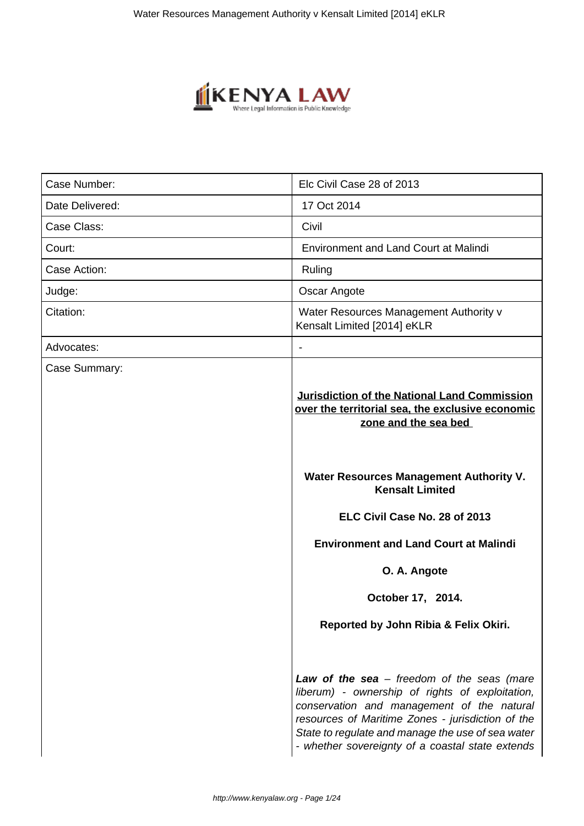

| Case Number:    | Elc Civil Case 28 of 2013                                                                                                       |
|-----------------|---------------------------------------------------------------------------------------------------------------------------------|
| Date Delivered: | 17 Oct 2014                                                                                                                     |
| Case Class:     | Civil                                                                                                                           |
| Court:          | <b>Environment and Land Court at Malindi</b>                                                                                    |
| Case Action:    | Ruling                                                                                                                          |
| Judge:          | Oscar Angote                                                                                                                    |
| Citation:       | Water Resources Management Authority v<br>Kensalt Limited [2014] eKLR                                                           |
| Advocates:      |                                                                                                                                 |
| Case Summary:   | <b>Jurisdiction of the National Land Commission</b><br>over the territorial sea, the exclusive economic<br>zone and the sea bed |
|                 |                                                                                                                                 |
|                 | Water Resources Management Authority V.<br><b>Kensalt Limited</b>                                                               |
|                 | ELC Civil Case No. 28 of 2013                                                                                                   |
|                 | <b>Environment and Land Court at Malindi</b>                                                                                    |
|                 | O. A. Angote                                                                                                                    |
|                 | October 17, 2014.                                                                                                               |
|                 | Reported by John Ribia & Felix Okiri.                                                                                           |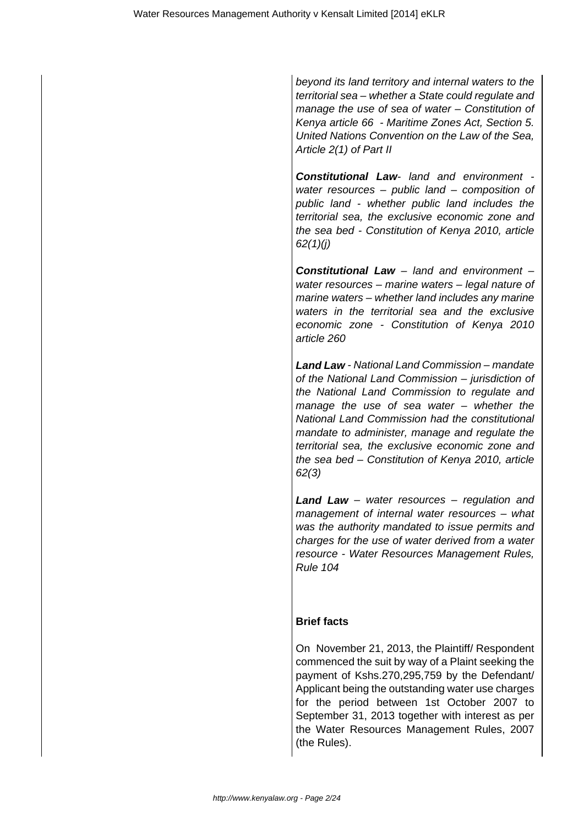beyond its land territory and internal waters to the territorial sea – whether a State could regulate and manage the use of sea of water – Constitution of Kenya article 66 - Maritime Zones Act, Section 5. United Nations Convention on the Law of the Sea, Article 2(1) of Part II

**Constitutional Law**- land and environment water resources – public land – composition of public land - whether public land includes the territorial sea, the exclusive economic zone and the sea bed - Constitution of Kenya 2010, article 62(1)(j)

**Constitutional Law** – land and environment – water resources – marine waters – legal nature of marine waters – whether land includes any marine waters in the territorial sea and the exclusive economic zone - Constitution of Kenya 2010 article 260

**Land Law** - National Land Commission – mandate of the National Land Commission – jurisdiction of the National Land Commission to regulate and manage the use of sea water – whether the National Land Commission had the constitutional mandate to administer, manage and regulate the territorial sea, the exclusive economic zone and the sea bed – Constitution of Kenya 2010, article 62(3)

**Land Law** – water resources – regulation and management of internal water resources – what was the authority mandated to issue permits and charges for the use of water derived from a water resource - Water Resources Management Rules, Rule 104

# **Brief facts**

On November 21, 2013, the Plaintiff/ Respondent commenced the suit by way of a Plaint seeking the payment of Kshs.270,295,759 by the Defendant/ Applicant being the outstanding water use charges for the period between 1st October 2007 to September 31, 2013 together with interest as per the Water Resources Management Rules, 2007 (the Rules).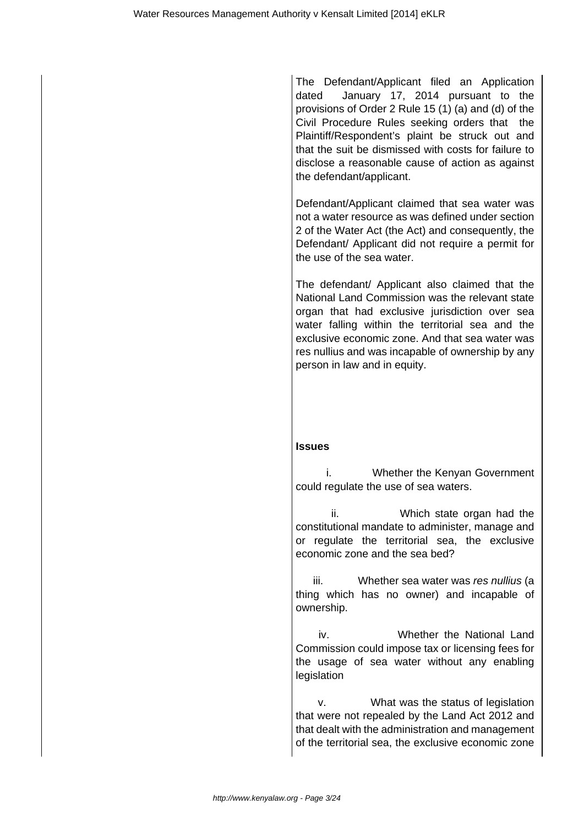The Defendant/Applicant filed an Application dated January 17, 2014 pursuant to the provisions of Order 2 Rule 15 (1) (a) and (d) of the Civil Procedure Rules seeking orders that the Plaintiff/Respondent's plaint be struck out and that the suit be dismissed with costs for failure to disclose a reasonable cause of action as against the defendant/applicant.

Defendant/Applicant claimed that sea water was not a water resource as was defined under section 2 of the Water Act (the Act) and consequently, the Defendant/ Applicant did not require a permit for the use of the sea water.

The defendant/ Applicant also claimed that the National Land Commission was the relevant state organ that had exclusive jurisdiction over sea water falling within the territorial sea and the exclusive economic zone. And that sea water was res nullius and was incapable of ownership by any person in law and in equity.

#### **Issues**

 i. Whether the Kenyan Government could regulate the use of sea waters.

 ii. Which state organ had the constitutional mandate to administer, manage and or regulate the territorial sea, the exclusive economic zone and the sea bed?

iii. Whether sea water was res nullius (a thing which has no owner) and incapable of ownership.

 iv. Whether the National Land Commission could impose tax or licensing fees for the usage of sea water without any enabling legislation

 v. What was the status of legislation that were not repealed by the Land Act 2012 and that dealt with the administration and management of the territorial sea, the exclusive economic zone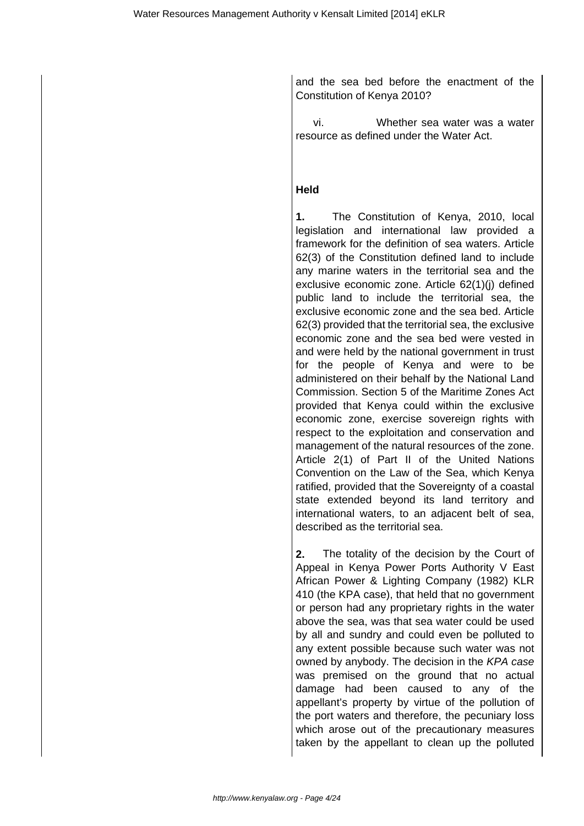and the sea bed before the enactment of the Constitution of Kenya 2010?

 vi. Whether sea water was a water resource as defined under the Water Act.

### **Held**

**1.** The Constitution of Kenya, 2010, local legislation and international law provided a framework for the definition of sea waters. Article 62(3) of the Constitution defined land to include any marine waters in the territorial sea and the exclusive economic zone. Article 62(1)(j) defined public land to include the territorial sea, the exclusive economic zone and the sea bed. Article 62(3) provided that the territorial sea, the exclusive economic zone and the sea bed were vested in and were held by the national government in trust for the people of Kenya and were to be administered on their behalf by the National Land Commission. Section 5 of the Maritime Zones Act provided that Kenya could within the exclusive economic zone, exercise sovereign rights with respect to the exploitation and conservation and management of the natural resources of the zone. Article 2(1) of Part II of the United Nations Convention on the Law of the Sea, which Kenya ratified, provided that the Sovereignty of a coastal state extended beyond its land territory and international waters, to an adjacent belt of sea, described as the territorial sea.

**2.** The totality of the decision by the Court of Appeal in Kenya Power Ports Authority V East African Power & Lighting Company (1982) KLR 410 (the KPA case), that held that no government or person had any proprietary rights in the water above the sea, was that sea water could be used by all and sundry and could even be polluted to any extent possible because such water was not owned by anybody. The decision in the KPA case was premised on the ground that no actual damage had been caused to any of the appellant's property by virtue of the pollution of the port waters and therefore, the pecuniary loss which arose out of the precautionary measures taken by the appellant to clean up the polluted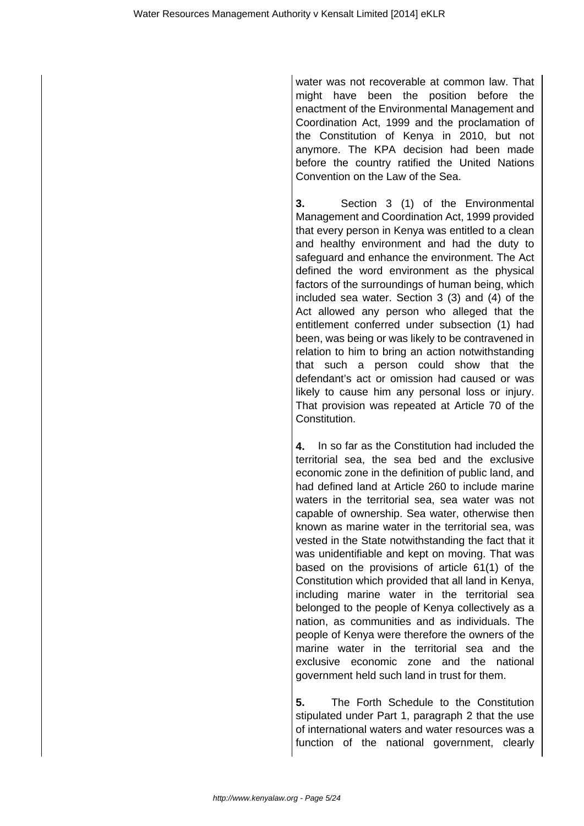water was not recoverable at common law. That might have been the position before the enactment of the Environmental Management and Coordination Act, 1999 and the proclamation of the Constitution of Kenya in 2010, but not anymore. The KPA decision had been made before the country ratified the United Nations Convention on the Law of the Sea.

**3.** Section 3 (1) of the Environmental Management and Coordination Act, 1999 provided that every person in Kenya was entitled to a clean and healthy environment and had the duty to safeguard and enhance the environment. The Act defined the word environment as the physical factors of the surroundings of human being, which included sea water. Section 3 (3) and (4) of the Act allowed any person who alleged that the entitlement conferred under subsection (1) had been, was being or was likely to be contravened in relation to him to bring an action notwithstanding that such a person could show that the defendant's act or omission had caused or was likely to cause him any personal loss or injury. That provision was repeated at Article 70 of the Constitution.

**4.** In so far as the Constitution had included the territorial sea, the sea bed and the exclusive economic zone in the definition of public land, and had defined land at Article 260 to include marine waters in the territorial sea, sea water was not capable of ownership. Sea water, otherwise then known as marine water in the territorial sea, was vested in the State notwithstanding the fact that it was unidentifiable and kept on moving. That was based on the provisions of article 61(1) of the Constitution which provided that all land in Kenya, including marine water in the territorial sea belonged to the people of Kenya collectively as a nation, as communities and as individuals. The people of Kenya were therefore the owners of the marine water in the territorial sea and the exclusive economic zone and the national government held such land in trust for them.

**5.** The Forth Schedule to the Constitution stipulated under Part 1, paragraph 2 that the use of international waters and water resources was a function of the national government, clearly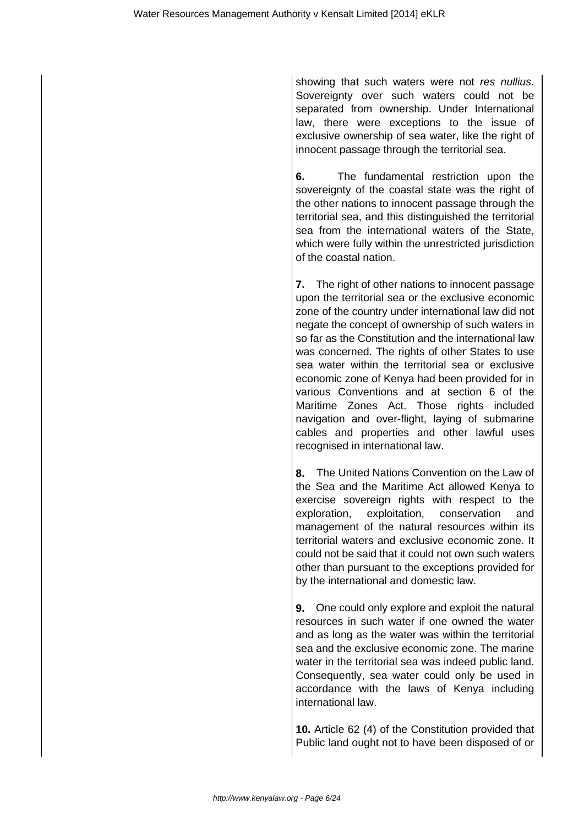showing that such waters were not res nullius. Sovereignty over such waters could not be separated from ownership. Under International law, there were exceptions to the issue of exclusive ownership of sea water, like the right of innocent passage through the territorial sea.

**6.** The fundamental restriction upon the sovereignty of the coastal state was the right of the other nations to innocent passage through the territorial sea, and this distinguished the territorial sea from the international waters of the State, which were fully within the unrestricted jurisdiction of the coastal nation.

**7.** The right of other nations to innocent passage upon the territorial sea or the exclusive economic zone of the country under international law did not negate the concept of ownership of such waters in so far as the Constitution and the international law was concerned. The rights of other States to use sea water within the territorial sea or exclusive economic zone of Kenya had been provided for in various Conventions and at section 6 of the Maritime Zones Act. Those rights included navigation and over-flight, laying of submarine cables and properties and other lawful uses recognised in international law.

**8.** The United Nations Convention on the Law of the Sea and the Maritime Act allowed Kenya to exercise sovereign rights with respect to the exploration, exploitation, conservation and management of the natural resources within its territorial waters and exclusive economic zone. It could not be said that it could not own such waters other than pursuant to the exceptions provided for by the international and domestic law.

**9.** One could only explore and exploit the natural resources in such water if one owned the water and as long as the water was within the territorial sea and the exclusive economic zone. The marine water in the territorial sea was indeed public land. Consequently, sea water could only be used in accordance with the laws of Kenya including international law.

**10.** Article 62 (4) of the Constitution provided that Public land ought not to have been disposed of or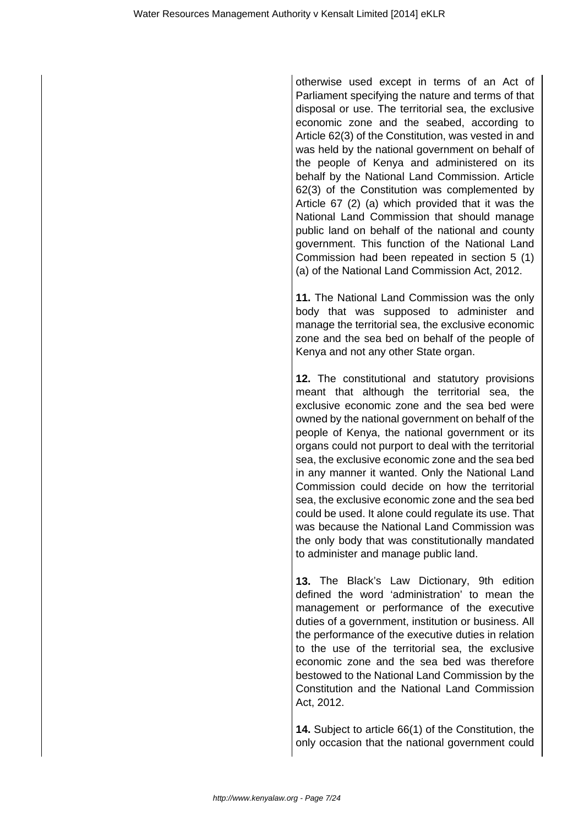otherwise used except in terms of an Act of Parliament specifying the nature and terms of that disposal or use. The territorial sea, the exclusive economic zone and the seabed, according to Article 62(3) of the Constitution, was vested in and was held by the national government on behalf of the people of Kenya and administered on its behalf by the National Land Commission. Article 62(3) of the Constitution was complemented by Article 67 (2) (a) which provided that it was the National Land Commission that should manage public land on behalf of the national and county government. This function of the National Land Commission had been repeated in section 5 (1) (a) of the National Land Commission Act, 2012.

**11.** The National Land Commission was the only body that was supposed to administer and manage the territorial sea, the exclusive economic zone and the sea bed on behalf of the people of Kenya and not any other State organ.

**12.** The constitutional and statutory provisions meant that although the territorial sea, the exclusive economic zone and the sea bed were owned by the national government on behalf of the people of Kenya, the national government or its organs could not purport to deal with the territorial sea, the exclusive economic zone and the sea bed in any manner it wanted. Only the National Land Commission could decide on how the territorial sea, the exclusive economic zone and the sea bed could be used. It alone could regulate its use. That was because the National Land Commission was the only body that was constitutionally mandated to administer and manage public land.

**13.** The Black's Law Dictionary, 9th edition defined the word 'administration' to mean the management or performance of the executive duties of a government, institution or business. All the performance of the executive duties in relation to the use of the territorial sea, the exclusive economic zone and the sea bed was therefore bestowed to the National Land Commission by the Constitution and the National Land Commission Act, 2012.

**14.** Subject to article 66(1) of the Constitution, the only occasion that the national government could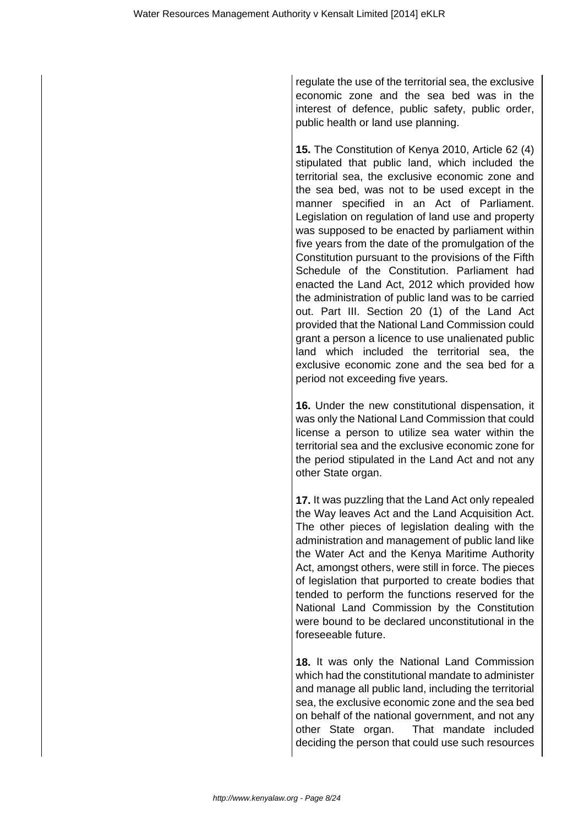regulate the use of the territorial sea, the exclusive economic zone and the sea bed was in the interest of defence, public safety, public order, public health or land use planning.

**15.** The Constitution of Kenya 2010, Article 62 (4) stipulated that public land, which included the territorial sea, the exclusive economic zone and the sea bed, was not to be used except in the manner specified in an Act of Parliament. Legislation on regulation of land use and property was supposed to be enacted by parliament within five years from the date of the promulgation of the Constitution pursuant to the provisions of the Fifth Schedule of the Constitution. Parliament had enacted the Land Act, 2012 which provided how the administration of public land was to be carried out. Part III. Section 20 (1) of the Land Act provided that the National Land Commission could grant a person a licence to use unalienated public land which included the territorial sea, the exclusive economic zone and the sea bed for a period not exceeding five years.

**16.** Under the new constitutional dispensation, it was only the National Land Commission that could license a person to utilize sea water within the territorial sea and the exclusive economic zone for the period stipulated in the Land Act and not any other State organ.

**17.** It was puzzling that the Land Act only repealed the Way leaves Act and the Land Acquisition Act. The other pieces of legislation dealing with the administration and management of public land like the Water Act and the Kenya Maritime Authority Act, amongst others, were still in force. The pieces of legislation that purported to create bodies that tended to perform the functions reserved for the National Land Commission by the Constitution were bound to be declared unconstitutional in the foreseeable future.

**18.** It was only the National Land Commission which had the constitutional mandate to administer and manage all public land, including the territorial sea, the exclusive economic zone and the sea bed on behalf of the national government, and not any other State organ. That mandate included deciding the person that could use such resources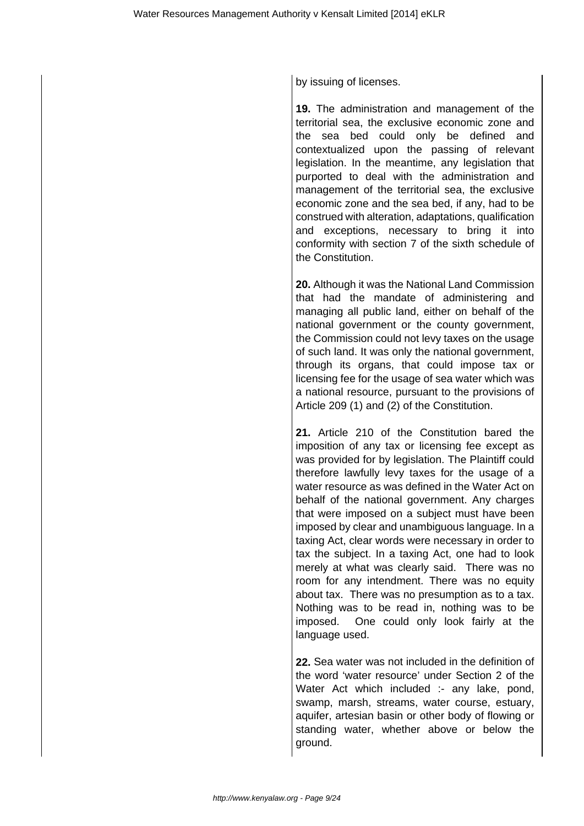by issuing of licenses.

**19.** The administration and management of the territorial sea, the exclusive economic zone and the sea bed could only be defined and contextualized upon the passing of relevant legislation. In the meantime, any legislation that purported to deal with the administration and management of the territorial sea, the exclusive economic zone and the sea bed, if any, had to be construed with alteration, adaptations, qualification and exceptions, necessary to bring it into conformity with section 7 of the sixth schedule of the Constitution.

**20.** Although it was the National Land Commission that had the mandate of administering and managing all public land, either on behalf of the national government or the county government, the Commission could not levy taxes on the usage of such land. It was only the national government, through its organs, that could impose tax or licensing fee for the usage of sea water which was a national resource, pursuant to the provisions of Article 209 (1) and (2) of the Constitution.

**21.** Article 210 of the Constitution bared the imposition of any tax or licensing fee except as was provided for by legislation. The Plaintiff could therefore lawfully levy taxes for the usage of a water resource as was defined in the Water Act on behalf of the national government. Any charges that were imposed on a subject must have been imposed by clear and unambiguous language. In a taxing Act, clear words were necessary in order to tax the subject. In a taxing Act, one had to look merely at what was clearly said. There was no room for any intendment. There was no equity about tax. There was no presumption as to a tax. Nothing was to be read in, nothing was to be imposed. One could only look fairly at the language used.

**22.** Sea water was not included in the definition of the word 'water resource' under Section 2 of the Water Act which included :- any lake, pond, swamp, marsh, streams, water course, estuary, aquifer, artesian basin or other body of flowing or standing water, whether above or below the ground.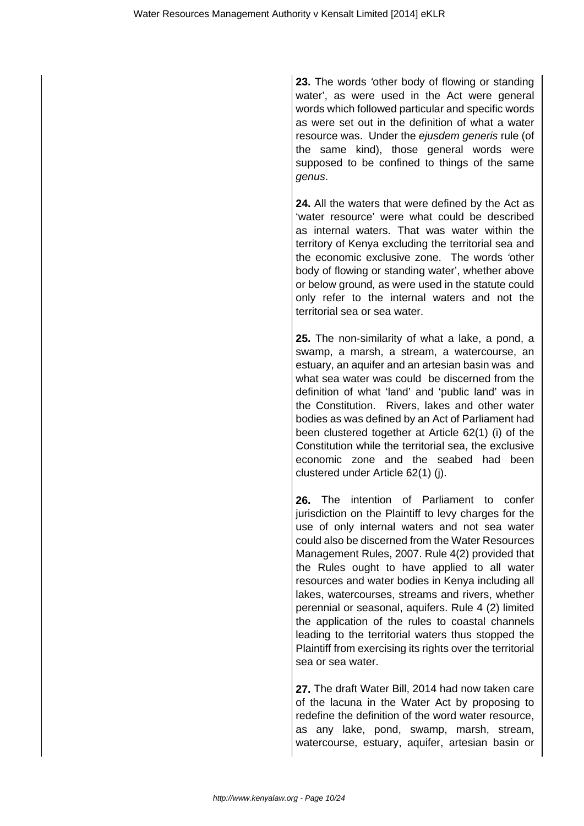**23.** The words 'other body of flowing or standing water', as were used in the Act were general words which followed particular and specific words as were set out in the definition of what a water resource was. Under the ejusdem generis rule (of the same kind), those general words were supposed to be confined to things of the same genus.

**24.** All the waters that were defined by the Act as 'water resource' were what could be described as internal waters. That was water within the territory of Kenya excluding the territorial sea and the economic exclusive zone. The words 'other body of flowing or standing water', whether above or below ground, as were used in the statute could only refer to the internal waters and not the territorial sea or sea water.

**25.** The non-similarity of what a lake, a pond, a swamp, a marsh, a stream, a watercourse, an estuary, an aquifer and an artesian basin was and what sea water was could be discerned from the definition of what 'land' and 'public land' was in the Constitution. Rivers, lakes and other water bodies as was defined by an Act of Parliament had been clustered together at Article 62(1) (i) of the Constitution while the territorial sea, the exclusive economic zone and the seabed had been clustered under Article 62(1) (j).

**26.** The intention of Parliament to confer jurisdiction on the Plaintiff to levy charges for the use of only internal waters and not sea water could also be discerned from the Water Resources Management Rules, 2007. Rule 4(2) provided that the Rules ought to have applied to all water resources and water bodies in Kenya including all lakes, watercourses, streams and rivers, whether perennial or seasonal, aquifers. Rule 4 (2) limited the application of the rules to coastal channels leading to the territorial waters thus stopped the Plaintiff from exercising its rights over the territorial sea or sea water.

**27.** The draft Water Bill, 2014 had now taken care of the lacuna in the Water Act by proposing to redefine the definition of the word water resource, as any lake, pond, swamp, marsh, stream, watercourse, estuary, aquifer, artesian basin or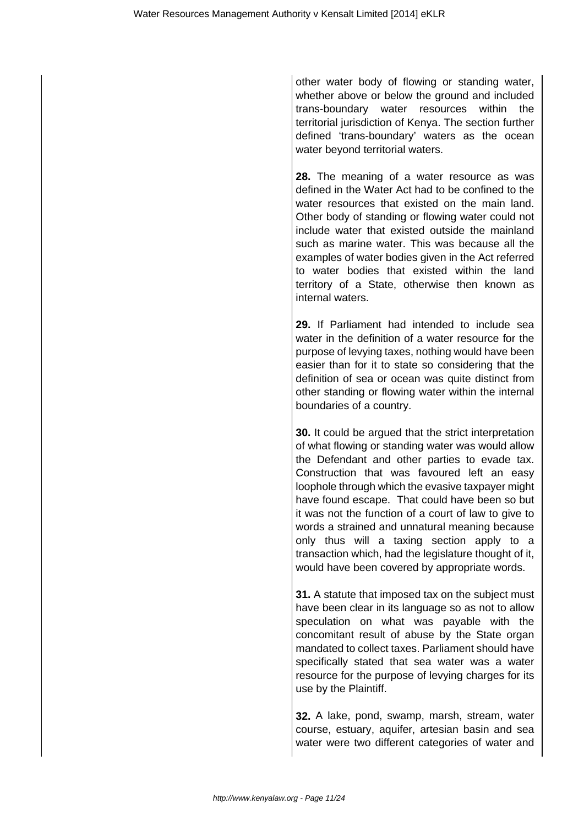other water body of flowing or standing water, whether above or below the ground and included trans-boundary water resources within the territorial jurisdiction of Kenya. The section further defined 'trans-boundary' waters as the ocean water beyond territorial waters.

**28.** The meaning of a water resource as was defined in the Water Act had to be confined to the water resources that existed on the main land. Other body of standing or flowing water could not include water that existed outside the mainland such as marine water. This was because all the examples of water bodies given in the Act referred to water bodies that existed within the land territory of a State, otherwise then known as internal waters.

**29.** If Parliament had intended to include sea water in the definition of a water resource for the purpose of levying taxes, nothing would have been easier than for it to state so considering that the definition of sea or ocean was quite distinct from other standing or flowing water within the internal boundaries of a country.

**30.** It could be argued that the strict interpretation of what flowing or standing water was would allow the Defendant and other parties to evade tax. Construction that was favoured left an easy loophole through which the evasive taxpayer might have found escape. That could have been so but it was not the function of a court of law to give to words a strained and unnatural meaning because only thus will a taxing section apply to a transaction which, had the legislature thought of it, would have been covered by appropriate words.

**31.** A statute that imposed tax on the subject must have been clear in its language so as not to allow speculation on what was payable with the concomitant result of abuse by the State organ mandated to collect taxes. Parliament should have specifically stated that sea water was a water resource for the purpose of levying charges for its use by the Plaintiff.

**32.** A lake, pond, swamp, marsh, stream, water course, estuary, aquifer, artesian basin and sea water were two different categories of water and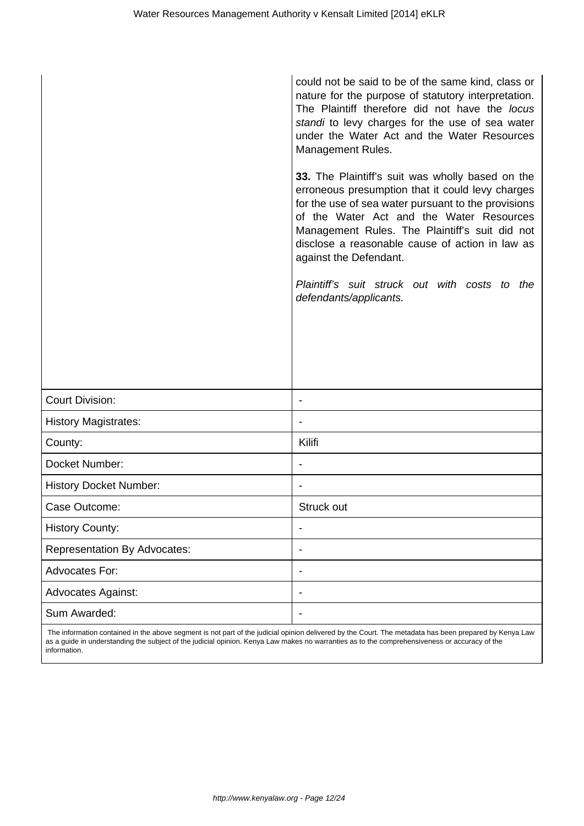|                                     | could not be said to be of the same kind, class or<br>nature for the purpose of statutory interpretation.<br>The Plaintiff therefore did not have the locus<br>standi to levy charges for the use of sea water<br>under the Water Act and the Water Resources<br>Management Rules.                                                     |
|-------------------------------------|----------------------------------------------------------------------------------------------------------------------------------------------------------------------------------------------------------------------------------------------------------------------------------------------------------------------------------------|
|                                     | 33. The Plaintiff's suit was wholly based on the<br>erroneous presumption that it could levy charges<br>for the use of sea water pursuant to the provisions<br>of the Water Act and the Water Resources<br>Management Rules. The Plaintiff's suit did not<br>disclose a reasonable cause of action in law as<br>against the Defendant. |
|                                     | Plaintiff's suit struck out with costs to the<br>defendants/applicants.                                                                                                                                                                                                                                                                |
|                                     |                                                                                                                                                                                                                                                                                                                                        |
|                                     |                                                                                                                                                                                                                                                                                                                                        |
| <b>Court Division:</b>              | $\qquad \qquad \blacksquare$                                                                                                                                                                                                                                                                                                           |
| <b>History Magistrates:</b>         |                                                                                                                                                                                                                                                                                                                                        |
| County:                             | Kilifi                                                                                                                                                                                                                                                                                                                                 |
| Docket Number:                      | $\qquad \qquad \blacksquare$                                                                                                                                                                                                                                                                                                           |
| <b>History Docket Number:</b>       | $\overline{\phantom{0}}$                                                                                                                                                                                                                                                                                                               |
| Case Outcome:                       | Struck out                                                                                                                                                                                                                                                                                                                             |
| <b>History County:</b>              | ۰                                                                                                                                                                                                                                                                                                                                      |
| <b>Representation By Advocates:</b> |                                                                                                                                                                                                                                                                                                                                        |
| <b>Advocates For:</b>               | $\qquad \qquad \blacksquare$                                                                                                                                                                                                                                                                                                           |
| <b>Advocates Against:</b>           |                                                                                                                                                                                                                                                                                                                                        |
| Sum Awarded:                        | $\qquad \qquad \blacksquare$                                                                                                                                                                                                                                                                                                           |

 The information contained in the above segment is not part of the judicial opinion delivered by the Court. The metadata has been prepared by Kenya Law as a guide in understanding the subject of the judicial opinion. Kenya Law makes no warranties as to the comprehensiveness or accuracy of the information.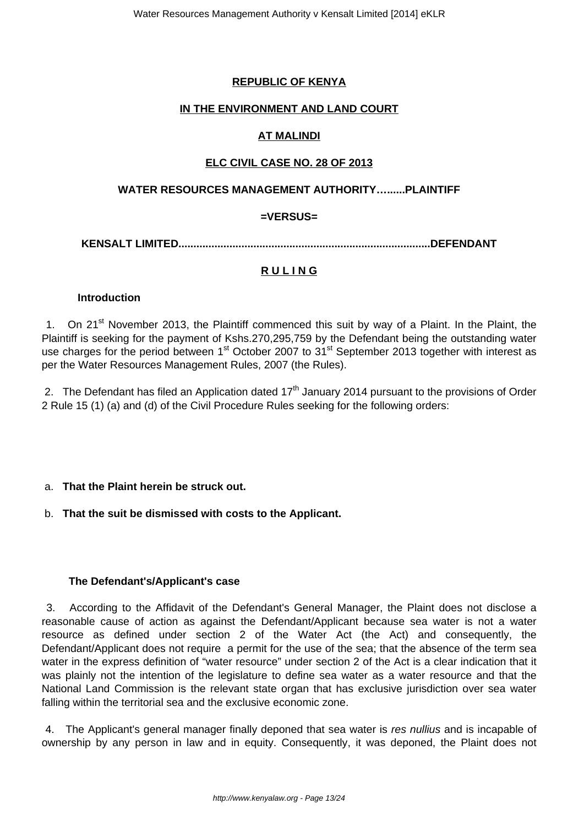# **REPUBLIC OF KENYA**

### **IN THE ENVIRONMENT AND LAND COURT**

# **AT MALINDI**

### **ELC CIVIL CASE NO. 28 OF 2013**

### **WATER RESOURCES MANAGEMENT AUTHORITY…......PLAINTIFF**

# **=VERSUS=**

**KENSALT LIMITED....................................................................................DEFENDANT**

# **R U L I N G**

### **Introduction**

1. On 21<sup>st</sup> November 2013, the Plaintiff commenced this suit by way of a Plaint. In the Plaint, the Plaintiff is seeking for the payment of Kshs.270,295,759 by the Defendant being the outstanding water use charges for the period between 1<sup>st</sup> October 2007 to 31<sup>st</sup> September 2013 together with interest as per the Water Resources Management Rules, 2007 (the Rules).

2. The Defendant has filed an Application dated  $17<sup>th</sup>$  January 2014 pursuant to the provisions of Order 2 Rule 15 (1) (a) and (d) of the Civil Procedure Rules seeking for the following orders:

### a. **That the Plaint herein be struck out.**

### b. **That the suit be dismissed with costs to the Applicant.**

### **The Defendant's/Applicant's case**

3. According to the Affidavit of the Defendant's General Manager, the Plaint does not disclose a reasonable cause of action as against the Defendant/Applicant because sea water is not a water resource as defined under section 2 of the Water Act (the Act) and consequently, the Defendant/Applicant does not require a permit for the use of the sea; that the absence of the term sea water in the express definition of "water resource" under section 2 of the Act is a clear indication that it was plainly not the intention of the legislature to define sea water as a water resource and that the National Land Commission is the relevant state organ that has exclusive jurisdiction over sea water falling within the territorial sea and the exclusive economic zone.

4. The Applicant's general manager finally deponed that sea water is res nullius and is incapable of ownership by any person in law and in equity. Consequently, it was deponed, the Plaint does not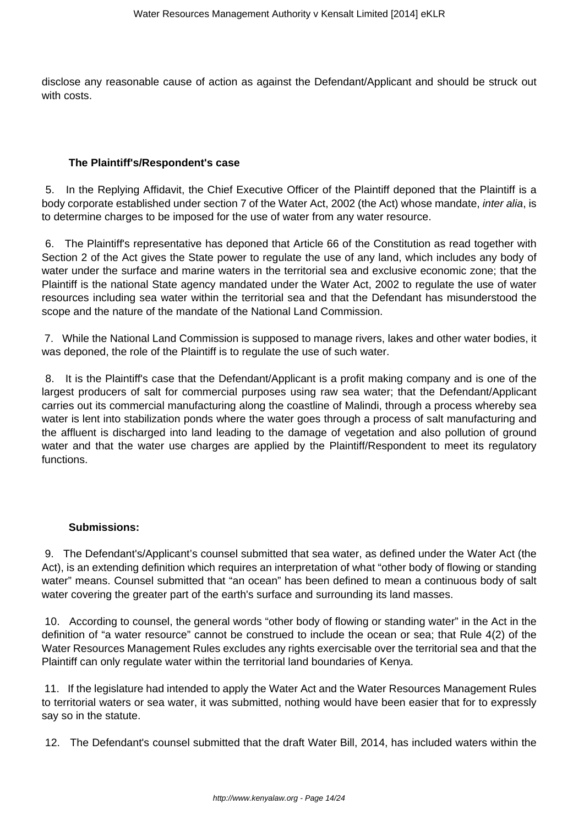disclose any reasonable cause of action as against the Defendant/Applicant and should be struck out with costs.

#### **The Plaintiff's/Respondent's case**

5. In the Replying Affidavit, the Chief Executive Officer of the Plaintiff deponed that the Plaintiff is a body corporate established under section 7 of the Water Act, 2002 (the Act) whose mandate, *inter alia*, is to determine charges to be imposed for the use of water from any water resource.

6. The Plaintiff's representative has deponed that Article 66 of the Constitution as read together with Section 2 of the Act gives the State power to regulate the use of any land, which includes any body of water under the surface and marine waters in the territorial sea and exclusive economic zone; that the Plaintiff is the national State agency mandated under the Water Act, 2002 to regulate the use of water resources including sea water within the territorial sea and that the Defendant has misunderstood the scope and the nature of the mandate of the National Land Commission.

7. While the National Land Commission is supposed to manage rivers, lakes and other water bodies, it was deponed, the role of the Plaintiff is to regulate the use of such water.

8. It is the Plaintiff's case that the Defendant/Applicant is a profit making company and is one of the largest producers of salt for commercial purposes using raw sea water; that the Defendant/Applicant carries out its commercial manufacturing along the coastline of Malindi, through a process whereby sea water is lent into stabilization ponds where the water goes through a process of salt manufacturing and the affluent is discharged into land leading to the damage of vegetation and also pollution of ground water and that the water use charges are applied by the Plaintiff/Respondent to meet its regulatory functions.

#### **Submissions:**

9. The Defendant's/Applicant's counsel submitted that sea water, as defined under the Water Act (the Act), is an extending definition which requires an interpretation of what "other body of flowing or standing water" means. Counsel submitted that "an ocean" has been defined to mean a continuous body of salt water covering the greater part of the earth's surface and surrounding its land masses.

10. According to counsel, the general words "other body of flowing or standing water" in the Act in the definition of "a water resource" cannot be construed to include the ocean or sea; that Rule 4(2) of the Water Resources Management Rules excludes any rights exercisable over the territorial sea and that the Plaintiff can only regulate water within the territorial land boundaries of Kenya.

11. If the legislature had intended to apply the Water Act and the Water Resources Management Rules to territorial waters or sea water, it was submitted, nothing would have been easier that for to expressly say so in the statute.

12. The Defendant's counsel submitted that the draft Water Bill, 2014, has included waters within the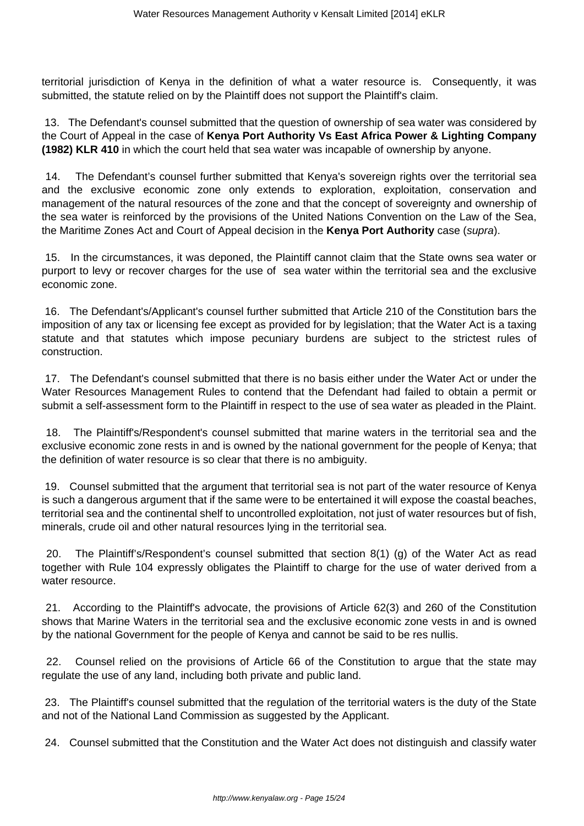territorial jurisdiction of Kenya in the definition of what a water resource is. Consequently, it was submitted, the statute relied on by the Plaintiff does not support the Plaintiff's claim.

13. The Defendant's counsel submitted that the question of ownership of sea water was considered by the Court of Appeal in the case of **Kenya Port Authority Vs East Africa Power & Lighting Company (1982) KLR 410** in which the court held that sea water was incapable of ownership by anyone.

14. The Defendant's counsel further submitted that Kenya's sovereign rights over the territorial sea and the exclusive economic zone only extends to exploration, exploitation, conservation and management of the natural resources of the zone and that the concept of sovereignty and ownership of the sea water is reinforced by the provisions of the United Nations Convention on the Law of the Sea, the Maritime Zones Act and Court of Appeal decision in the **Kenya Port Authority** case (supra).

15. In the circumstances, it was deponed, the Plaintiff cannot claim that the State owns sea water or purport to levy or recover charges for the use of sea water within the territorial sea and the exclusive economic zone.

16. The Defendant's/Applicant's counsel further submitted that Article 210 of the Constitution bars the imposition of any tax or licensing fee except as provided for by legislation; that the Water Act is a taxing statute and that statutes which impose pecuniary burdens are subject to the strictest rules of construction.

17. The Defendant's counsel submitted that there is no basis either under the Water Act or under the Water Resources Management Rules to contend that the Defendant had failed to obtain a permit or submit a self-assessment form to the Plaintiff in respect to the use of sea water as pleaded in the Plaint.

18. The Plaintiff's/Respondent's counsel submitted that marine waters in the territorial sea and the exclusive economic zone rests in and is owned by the national government for the people of Kenya; that the definition of water resource is so clear that there is no ambiguity.

19. Counsel submitted that the argument that territorial sea is not part of the water resource of Kenya is such a dangerous argument that if the same were to be entertained it will expose the coastal beaches, territorial sea and the continental shelf to uncontrolled exploitation, not just of water resources but of fish, minerals, crude oil and other natural resources lying in the territorial sea.

20. The Plaintiff's/Respondent's counsel submitted that section 8(1) (g) of the Water Act as read together with Rule 104 expressly obligates the Plaintiff to charge for the use of water derived from a water resource.

21. According to the Plaintiff's advocate, the provisions of Article 62(3) and 260 of the Constitution shows that Marine Waters in the territorial sea and the exclusive economic zone vests in and is owned by the national Government for the people of Kenya and cannot be said to be res nullis.

22. Counsel relied on the provisions of Article 66 of the Constitution to argue that the state may regulate the use of any land, including both private and public land.

23. The Plaintiff's counsel submitted that the regulation of the territorial waters is the duty of the State and not of the National Land Commission as suggested by the Applicant.

24. Counsel submitted that the Constitution and the Water Act does not distinguish and classify water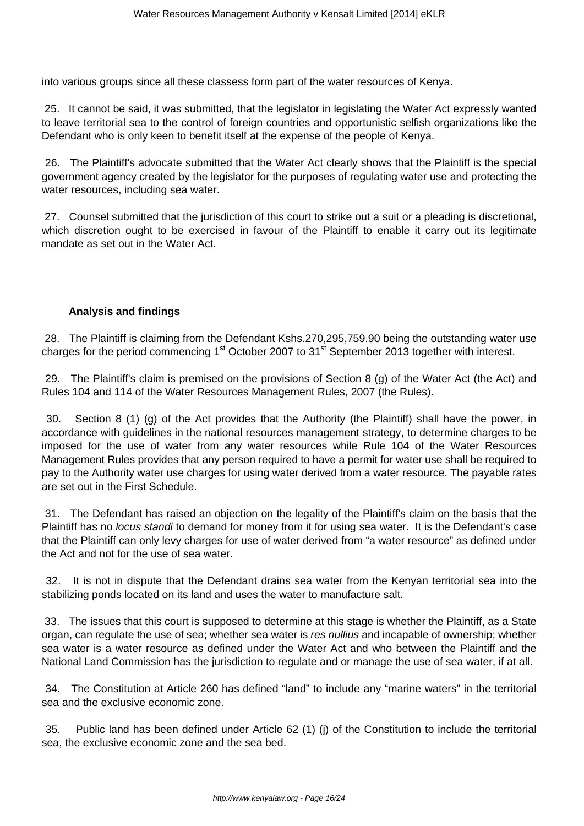into various groups since all these classess form part of the water resources of Kenya.

25. It cannot be said, it was submitted, that the legislator in legislating the Water Act expressly wanted to leave territorial sea to the control of foreign countries and opportunistic selfish organizations like the Defendant who is only keen to benefit itself at the expense of the people of Kenya.

26. The Plaintiff's advocate submitted that the Water Act clearly shows that the Plaintiff is the special government agency created by the legislator for the purposes of regulating water use and protecting the water resources, including sea water.

27. Counsel submitted that the jurisdiction of this court to strike out a suit or a pleading is discretional, which discretion ought to be exercised in favour of the Plaintiff to enable it carry out its legitimate mandate as set out in the Water Act.

# **Analysis and findings**

28. The Plaintiff is claiming from the Defendant Kshs.270,295,759.90 being the outstanding water use charges for the period commencing 1<sup>st</sup> October 2007 to 31<sup>st</sup> September 2013 together with interest.

29. The Plaintiff's claim is premised on the provisions of Section 8 (g) of the Water Act (the Act) and Rules 104 and 114 of the Water Resources Management Rules, 2007 (the Rules).

30. Section 8 (1) (g) of the Act provides that the Authority (the Plaintiff) shall have the power, in accordance with guidelines in the national resources management strategy, to determine charges to be imposed for the use of water from any water resources while Rule 104 of the Water Resources Management Rules provides that any person required to have a permit for water use shall be required to pay to the Authority water use charges for using water derived from a water resource. The payable rates are set out in the First Schedule.

31. The Defendant has raised an objection on the legality of the Plaintiff's claim on the basis that the Plaintiff has no *locus standi* to demand for money from it for using sea water. It is the Defendant's case that the Plaintiff can only levy charges for use of water derived from "a water resource" as defined under the Act and not for the use of sea water.

32. It is not in dispute that the Defendant drains sea water from the Kenyan territorial sea into the stabilizing ponds located on its land and uses the water to manufacture salt.

33. The issues that this court is supposed to determine at this stage is whether the Plaintiff, as a State organ, can regulate the use of sea; whether sea water is res nullius and incapable of ownership; whether sea water is a water resource as defined under the Water Act and who between the Plaintiff and the National Land Commission has the jurisdiction to regulate and or manage the use of sea water, if at all.

34. The Constitution at Article 260 has defined "land" to include any "marine waters" in the territorial sea and the exclusive economic zone.

35. Public land has been defined under Article 62 (1) (j) of the Constitution to include the territorial sea, the exclusive economic zone and the sea bed.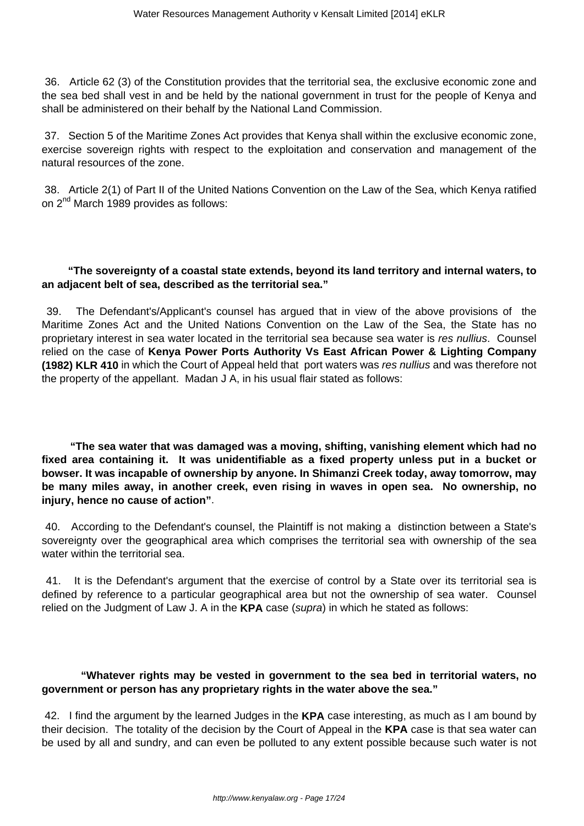36. Article 62 (3) of the Constitution provides that the territorial sea, the exclusive economic zone and the sea bed shall vest in and be held by the national government in trust for the people of Kenya and shall be administered on their behalf by the National Land Commission.

37. Section 5 of the Maritime Zones Act provides that Kenya shall within the exclusive economic zone, exercise sovereign rights with respect to the exploitation and conservation and management of the natural resources of the zone.

38. Article 2(1) of Part II of the United Nations Convention on the Law of the Sea, which Kenya ratified on 2<sup>nd</sup> March 1989 provides as follows:

### **"The sovereignty of a coastal state extends, beyond its land territory and internal waters, to an adjacent belt of sea, described as the territorial sea."**

39. The Defendant's/Applicant's counsel has argued that in view of the above provisions of the Maritime Zones Act and the United Nations Convention on the Law of the Sea, the State has no proprietary interest in sea water located in the territorial sea because sea water is res nullius. Counsel relied on the case of **Kenya Power Ports Authority Vs East African Power & Lighting Company (1982) KLR 410** in which the Court of Appeal held that port waters was res nullius and was therefore not the property of the appellant. Madan J A, in his usual flair stated as follows:

 **"The sea water that was damaged was a moving, shifting, vanishing element which had no fixed area containing it. It was unidentifiable as a fixed property unless put in a bucket or bowser. It was incapable of ownership by anyone. In Shimanzi Creek today, away tomorrow, may be many miles away, in another creek, even rising in waves in open sea. No ownership, no injury, hence no cause of action"**.

40. According to the Defendant's counsel, the Plaintiff is not making a distinction between a State's sovereignty over the geographical area which comprises the territorial sea with ownership of the sea water within the territorial sea.

41. It is the Defendant's argument that the exercise of control by a State over its territorial sea is defined by reference to a particular geographical area but not the ownership of sea water. Counsel relied on the Judgment of Law J. A in the **KPA** case (supra) in which he stated as follows:

### **"Whatever rights may be vested in government to the sea bed in territorial waters, no government or person has any proprietary rights in the water above the sea."**

42. I find the argument by the learned Judges in the **KPA** case interesting, as much as I am bound by their decision. The totality of the decision by the Court of Appeal in the **KPA** case is that sea water can be used by all and sundry, and can even be polluted to any extent possible because such water is not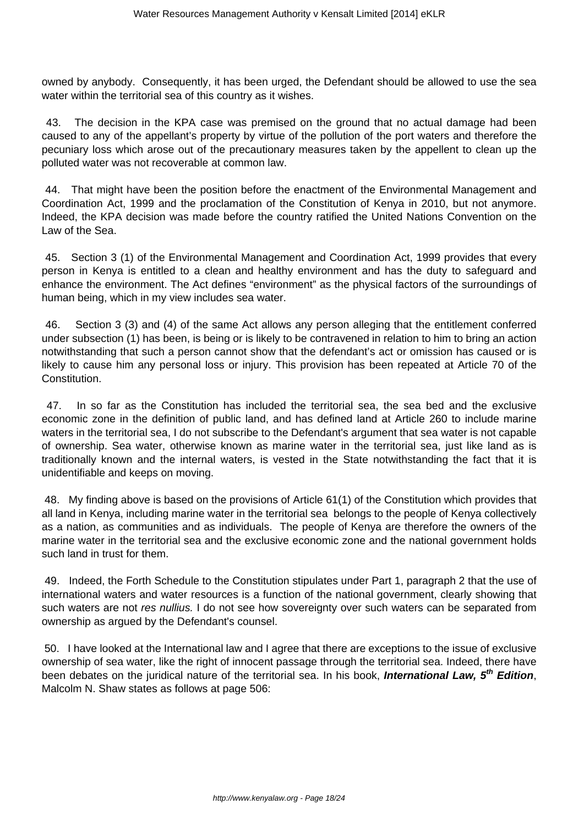owned by anybody. Consequently, it has been urged, the Defendant should be allowed to use the sea water within the territorial sea of this country as it wishes.

43. The decision in the KPA case was premised on the ground that no actual damage had been caused to any of the appellant's property by virtue of the pollution of the port waters and therefore the pecuniary loss which arose out of the precautionary measures taken by the appellent to clean up the polluted water was not recoverable at common law.

44. That might have been the position before the enactment of the Environmental Management and Coordination Act, 1999 and the proclamation of the Constitution of Kenya in 2010, but not anymore. Indeed, the KPA decision was made before the country ratified the United Nations Convention on the Law of the Sea.

45. Section 3 (1) of the Environmental Management and Coordination Act, 1999 provides that every person in Kenya is entitled to a clean and healthy environment and has the duty to safeguard and enhance the environment. The Act defines "environment" as the physical factors of the surroundings of human being, which in my view includes sea water.

46. Section 3 (3) and (4) of the same Act allows any person alleging that the entitlement conferred under subsection (1) has been, is being or is likely to be contravened in relation to him to bring an action notwithstanding that such a person cannot show that the defendant's act or omission has caused or is likely to cause him any personal loss or injury. This provision has been repeated at Article 70 of the Constitution.

47. In so far as the Constitution has included the territorial sea, the sea bed and the exclusive economic zone in the definition of public land, and has defined land at Article 260 to include marine waters in the territorial sea, I do not subscribe to the Defendant's argument that sea water is not capable of ownership. Sea water, otherwise known as marine water in the territorial sea, just like land as is traditionally known and the internal waters, is vested in the State notwithstanding the fact that it is unidentifiable and keeps on moving.

48. My finding above is based on the provisions of Article 61(1) of the Constitution which provides that all land in Kenya, including marine water in the territorial sea belongs to the people of Kenya collectively as a nation, as communities and as individuals. The people of Kenya are therefore the owners of the marine water in the territorial sea and the exclusive economic zone and the national government holds such land in trust for them.

49. Indeed, the Forth Schedule to the Constitution stipulates under Part 1, paragraph 2 that the use of international waters and water resources is a function of the national government, clearly showing that such waters are not res nullius. I do not see how sovereignty over such waters can be separated from ownership as argued by the Defendant's counsel.

50. I have looked at the International law and I agree that there are exceptions to the issue of exclusive ownership of sea water, like the right of innocent passage through the territorial sea. Indeed, there have been debates on the juridical nature of the territorial sea. In his book, **International Law, 5th Edition**, Malcolm N. Shaw states as follows at page 506: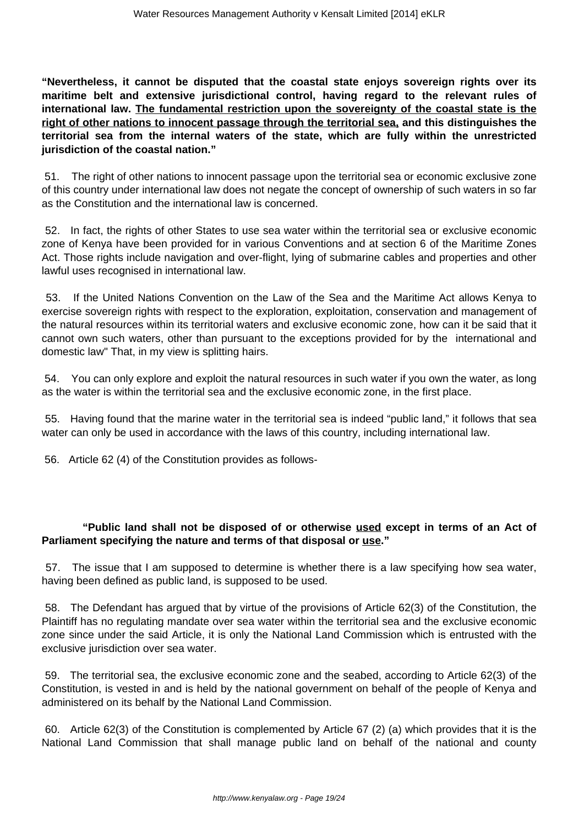**"Nevertheless, it cannot be disputed that the coastal state enjoys sovereign rights over its maritime belt and extensive jurisdictional control, having regard to the relevant rules of international law. The fundamental restriction upon the sovereignty of the coastal state is the right of other nations to innocent passage through the territorial sea, and this distinguishes the territorial sea from the internal waters of the state, which are fully within the unrestricted jurisdiction of the coastal nation."**

51. The right of other nations to innocent passage upon the territorial sea or economic exclusive zone of this country under international law does not negate the concept of ownership of such waters in so far as the Constitution and the international law is concerned.

52. In fact, the rights of other States to use sea water within the territorial sea or exclusive economic zone of Kenya have been provided for in various Conventions and at section 6 of the Maritime Zones Act. Those rights include navigation and over-flight, lying of submarine cables and properties and other lawful uses recognised in international law.

53. If the United Nations Convention on the Law of the Sea and the Maritime Act allows Kenya to exercise sovereign rights with respect to the exploration, exploitation, conservation and management of the natural resources within its territorial waters and exclusive economic zone, how can it be said that it cannot own such waters, other than pursuant to the exceptions provided for by the international and domestic law" That, in my view is splitting hairs.

54. You can only explore and exploit the natural resources in such water if you own the water, as long as the water is within the territorial sea and the exclusive economic zone, in the first place.

55. Having found that the marine water in the territorial sea is indeed "public land," it follows that sea water can only be used in accordance with the laws of this country, including international law.

56. Article 62 (4) of the Constitution provides as follows-

# **"Public land shall not be disposed of or otherwise used except in terms of an Act of Parliament specifying the nature and terms of that disposal or use."**

57. The issue that I am supposed to determine is whether there is a law specifying how sea water, having been defined as public land, is supposed to be used.

58. The Defendant has argued that by virtue of the provisions of Article 62(3) of the Constitution, the Plaintiff has no regulating mandate over sea water within the territorial sea and the exclusive economic zone since under the said Article, it is only the National Land Commission which is entrusted with the exclusive jurisdiction over sea water.

59. The territorial sea, the exclusive economic zone and the seabed, according to Article 62(3) of the Constitution, is vested in and is held by the national government on behalf of the people of Kenya and administered on its behalf by the National Land Commission.

60. Article 62(3) of the Constitution is complemented by Article 67 (2) (a) which provides that it is the National Land Commission that shall manage public land on behalf of the national and county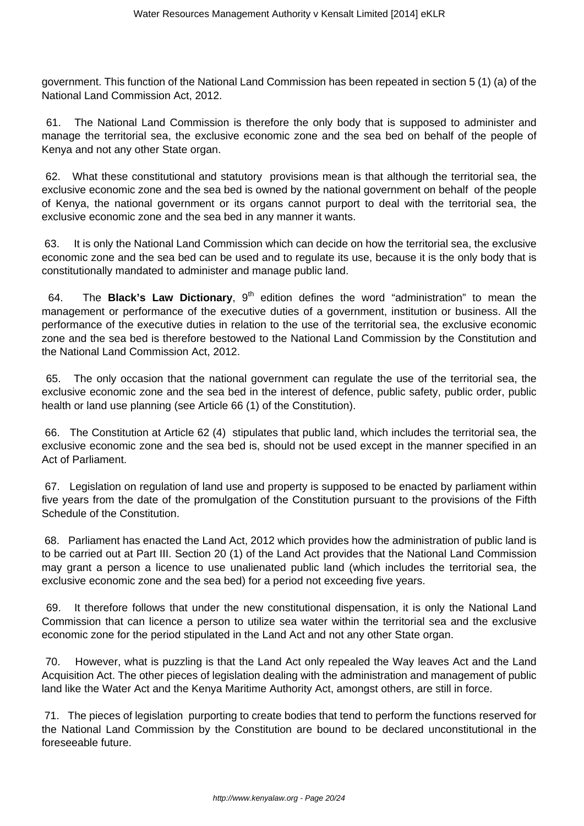government. This function of the National Land Commission has been repeated in section 5 (1) (a) of the National Land Commission Act, 2012.

61. The National Land Commission is therefore the only body that is supposed to administer and manage the territorial sea, the exclusive economic zone and the sea bed on behalf of the people of Kenya and not any other State organ.

62. What these constitutional and statutory provisions mean is that although the territorial sea, the exclusive economic zone and the sea bed is owned by the national government on behalf of the people of Kenya, the national government or its organs cannot purport to deal with the territorial sea, the exclusive economic zone and the sea bed in any manner it wants.

63. It is only the National Land Commission which can decide on how the territorial sea, the exclusive economic zone and the sea bed can be used and to regulate its use, because it is the only body that is constitutionally mandated to administer and manage public land.

64. The **Black's Law Dictionary**, 9<sup>th</sup> edition defines the word "administration" to mean the management or performance of the executive duties of a government, institution or business. All the performance of the executive duties in relation to the use of the territorial sea, the exclusive economic zone and the sea bed is therefore bestowed to the National Land Commission by the Constitution and the National Land Commission Act, 2012.

65. The only occasion that the national government can regulate the use of the territorial sea, the exclusive economic zone and the sea bed in the interest of defence, public safety, public order, public health or land use planning (see Article 66 (1) of the Constitution).

66. The Constitution at Article 62 (4) stipulates that public land, which includes the territorial sea, the exclusive economic zone and the sea bed is, should not be used except in the manner specified in an Act of Parliament.

67. Legislation on regulation of land use and property is supposed to be enacted by parliament within five years from the date of the promulgation of the Constitution pursuant to the provisions of the Fifth Schedule of the Constitution.

68. Parliament has enacted the Land Act, 2012 which provides how the administration of public land is to be carried out at Part III. Section 20 (1) of the Land Act provides that the National Land Commission may grant a person a licence to use unalienated public land (which includes the territorial sea, the exclusive economic zone and the sea bed) for a period not exceeding five years.

69. It therefore follows that under the new constitutional dispensation, it is only the National Land Commission that can licence a person to utilize sea water within the territorial sea and the exclusive economic zone for the period stipulated in the Land Act and not any other State organ.

70. However, what is puzzling is that the Land Act only repealed the Way leaves Act and the Land Acquisition Act. The other pieces of legislation dealing with the administration and management of public land like the Water Act and the Kenya Maritime Authority Act, amongst others, are still in force.

71. The pieces of legislation purporting to create bodies that tend to perform the functions reserved for the National Land Commission by the Constitution are bound to be declared unconstitutional in the foreseeable future.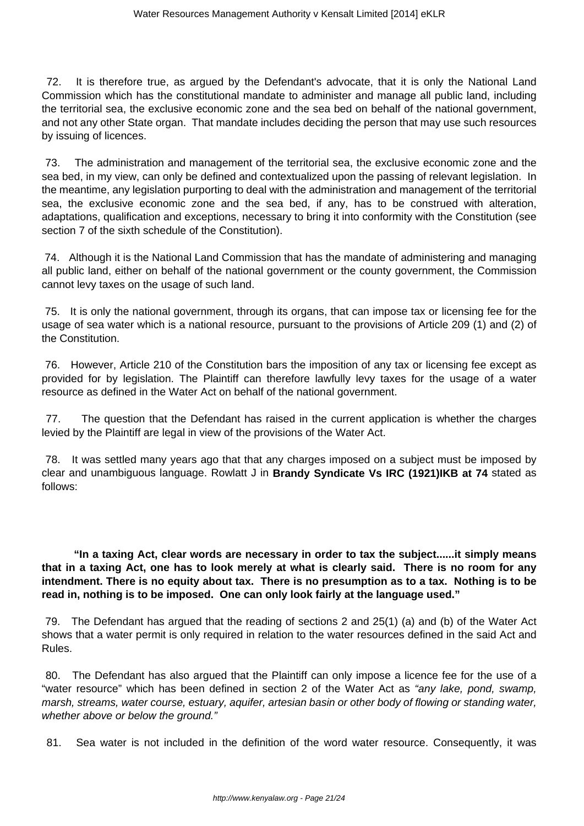72. It is therefore true, as argued by the Defendant's advocate, that it is only the National Land Commission which has the constitutional mandate to administer and manage all public land, including the territorial sea, the exclusive economic zone and the sea bed on behalf of the national government, and not any other State organ. That mandate includes deciding the person that may use such resources by issuing of licences.

73. The administration and management of the territorial sea, the exclusive economic zone and the sea bed, in my view, can only be defined and contextualized upon the passing of relevant legislation. In the meantime, any legislation purporting to deal with the administration and management of the territorial sea, the exclusive economic zone and the sea bed, if any, has to be construed with alteration, adaptations, qualification and exceptions, necessary to bring it into conformity with the Constitution (see section 7 of the sixth schedule of the Constitution).

74. Although it is the National Land Commission that has the mandate of administering and managing all public land, either on behalf of the national government or the county government, the Commission cannot levy taxes on the usage of such land.

75. It is only the national government, through its organs, that can impose tax or licensing fee for the usage of sea water which is a national resource, pursuant to the provisions of Article 209 (1) and (2) of the Constitution.

76. However, Article 210 of the Constitution bars the imposition of any tax or licensing fee except as provided for by legislation. The Plaintiff can therefore lawfully levy taxes for the usage of a water resource as defined in the Water Act on behalf of the national government.

77. The question that the Defendant has raised in the current application is whether the charges levied by the Plaintiff are legal in view of the provisions of the Water Act.

78. It was settled many years ago that that any charges imposed on a subject must be imposed by clear and unambiguous language. Rowlatt J in **Brandy Syndicate Vs IRC (1921)IKB at 74** stated as follows:

 **"In a taxing Act, clear words are necessary in order to tax the subject......it simply means that in a taxing Act, one has to look merely at what is clearly said. There is no room for any intendment. There is no equity about tax. There is no presumption as to a tax. Nothing is to be read in, nothing is to be imposed. One can only look fairly at the language used."**

79. The Defendant has argued that the reading of sections 2 and 25(1) (a) and (b) of the Water Act shows that a water permit is only required in relation to the water resources defined in the said Act and Rules.

80. The Defendant has also argued that the Plaintiff can only impose a licence fee for the use of a "water resource" which has been defined in section 2 of the Water Act as "any lake, pond, swamp, marsh, streams, water course, estuary, aquifer, artesian basin or other body of flowing or standing water, whether above or below the ground."

81. Sea water is not included in the definition of the word water resource. Consequently, it was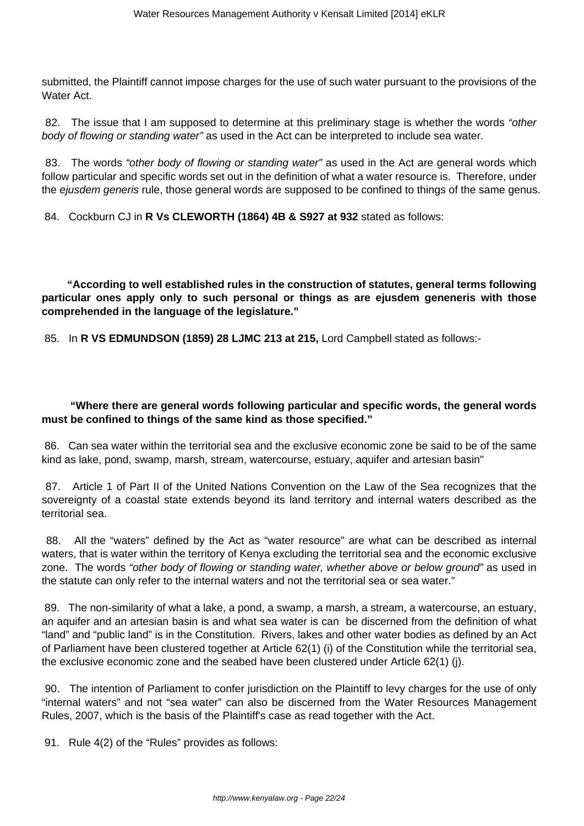submitted, the Plaintiff cannot impose charges for the use of such water pursuant to the provisions of the Water Act.

82. The issue that I am supposed to determine at this preliminary stage is whether the words "other body of flowing or standing water" as used in the Act can be interpreted to include sea water.

83. The words "other body of flowing or standing water" as used in the Act are general words which follow particular and specific words set out in the definition of what a water resource is. Therefore, under the ejusdem generis rule, those general words are supposed to be confined to things of the same genus.

84. Cockburn CJ in **R Vs CLEWORTH (1864) 4B & S927 at 932** stated as follows:

 **"According to well established rules in the construction of statutes, general terms following particular ones apply only to such personal or things as are ejusdem geneneris with those comprehended in the language of the legislature."**

85. In **R VS EDMUNDSON (1859) 28 LJMC 213 at 215,** Lord Campbell stated as follows:-

### **"Where there are general words following particular and specific words, the general words must be confined to things of the same kind as those specified."**

86. Can sea water within the territorial sea and the exclusive economic zone be said to be of the same kind as lake, pond, swamp, marsh, stream, watercourse, estuary, aquifer and artesian basin"

87. Article 1 of Part II of the United Nations Convention on the Law of the Sea recognizes that the sovereignty of a coastal state extends beyond its land territory and internal waters described as the territorial sea.

88. All the "waters" defined by the Act as "water resource" are what can be described as internal waters, that is water within the territory of Kenya excluding the territorial sea and the economic exclusive zone. The words "other body of flowing or standing water, whether above or below ground" as used in the statute can only refer to the internal waters and not the territorial sea or sea water."

89. The non-similarity of what a lake, a pond, a swamp, a marsh, a stream, a watercourse, an estuary, an aquifer and an artesian basin is and what sea water is can be discerned from the definition of what "land" and "public land" is in the Constitution. Rivers, lakes and other water bodies as defined by an Act of Parliament have been clustered together at Article 62(1) (i) of the Constitution while the territorial sea, the exclusive economic zone and the seabed have been clustered under Article 62(1) (j).

90. The intention of Parliament to confer jurisdiction on the Plaintiff to levy charges for the use of only "internal waters" and not "sea water" can also be discerned from the Water Resources Management Rules, 2007, which is the basis of the Plaintiff's case as read together with the Act.

91. Rule 4(2) of the "Rules" provides as follows: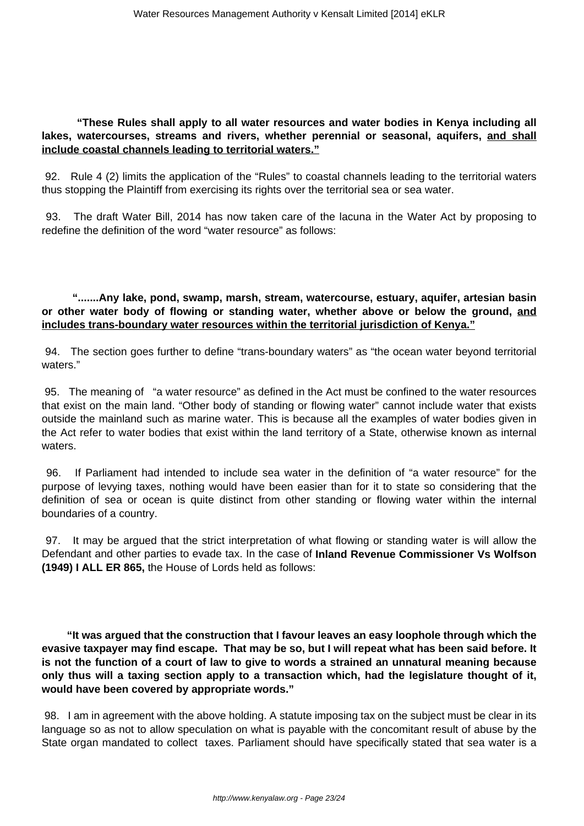### **"These Rules shall apply to all water resources and water bodies in Kenya including all lakes, watercourses, streams and rivers, whether perennial or seasonal, aquifers, and shall include coastal channels leading to territorial waters."**

92. Rule 4 (2) limits the application of the "Rules" to coastal channels leading to the territorial waters thus stopping the Plaintiff from exercising its rights over the territorial sea or sea water.

93. The draft Water Bill, 2014 has now taken care of the lacuna in the Water Act by proposing to redefine the definition of the word "water resource" as follows:

# **".......Any lake, pond, swamp, marsh, stream, watercourse, estuary, aquifer, artesian basin or other water body of flowing or standing water, whether above or below the ground, and includes trans-boundary water resources within the territorial jurisdiction of Kenya."**

94. The section goes further to define "trans-boundary waters" as "the ocean water beyond territorial waters."

95. The meaning of "a water resource" as defined in the Act must be confined to the water resources that exist on the main land. "Other body of standing or flowing water" cannot include water that exists outside the mainland such as marine water. This is because all the examples of water bodies given in the Act refer to water bodies that exist within the land territory of a State, otherwise known as internal waters.

96. If Parliament had intended to include sea water in the definition of "a water resource" for the purpose of levying taxes, nothing would have been easier than for it to state so considering that the definition of sea or ocean is quite distinct from other standing or flowing water within the internal boundaries of a country.

97. It may be argued that the strict interpretation of what flowing or standing water is will allow the Defendant and other parties to evade tax. In the case of **Inland Revenue Commissioner Vs Wolfson (1949) I ALL ER 865,** the House of Lords held as follows:

 **"It was argued that the construction that I favour leaves an easy loophole through which the evasive taxpayer may find escape. That may be so, but I will repeat what has been said before. It is not the function of a court of law to give to words a strained an unnatural meaning because only thus will a taxing section apply to a transaction which, had the legislature thought of it, would have been covered by appropriate words."**

98. I am in agreement with the above holding. A statute imposing tax on the subject must be clear in its language so as not to allow speculation on what is payable with the concomitant result of abuse by the State organ mandated to collect taxes. Parliament should have specifically stated that sea water is a